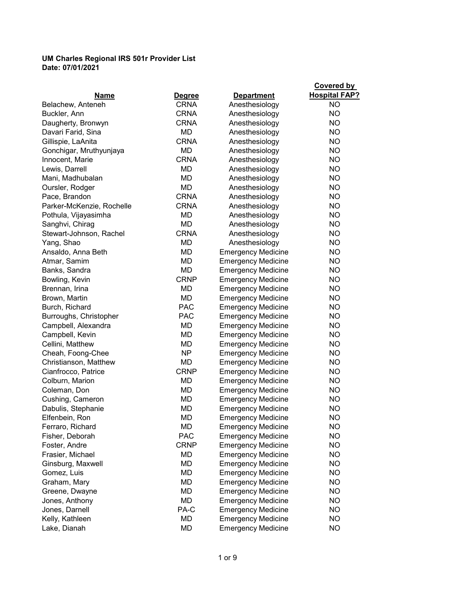| <b>Hospital FAP?</b><br>Name<br><b>Degree</b><br><b>Department</b><br><b>CRNA</b><br>Anesthesiology<br><b>NO</b><br>Belachew, Anteneh<br><b>NO</b><br>Buckler, Ann<br><b>CRNA</b><br>Anesthesiology<br><b>NO</b><br><b>CRNA</b><br>Anesthesiology<br>Daugherty, Bronwyn<br><b>MD</b><br><b>NO</b><br>Davari Farid, Sina<br>Anesthesiology<br><b>NO</b><br>Gillispie, LaAnita<br><b>CRNA</b><br>Anesthesiology<br><b>NO</b><br>Gonchigar, Mruthyunjaya<br>MD<br>Anesthesiology<br><b>NO</b><br>Innocent, Marie<br><b>CRNA</b><br>Anesthesiology<br><b>NO</b><br>Lewis, Darrell<br>MD<br>Anesthesiology<br><b>NO</b><br>Mani, Madhubalan<br>MD<br>Anesthesiology<br><b>NO</b><br>Oursler, Rodger<br>MD<br>Anesthesiology<br><b>NO</b><br><b>CRNA</b><br>Anesthesiology<br>Pace, Brandon<br><b>NO</b><br>Parker-McKenzie, Rochelle<br><b>CRNA</b><br>Anesthesiology<br><b>NO</b><br>Pothula, Vijayasimha<br>МD<br>Anesthesiology<br><b>NO</b><br>MD<br>Anesthesiology<br>Sanghvi, Chirag<br><b>CRNA</b><br><b>NO</b><br>Stewart-Johnson, Rachel<br>Anesthesiology<br><b>NO</b><br>Yang, Shao<br>MD<br>Anesthesiology<br><b>MD</b><br><b>NO</b><br><b>Emergency Medicine</b><br>Ansaldo, Anna Beth<br><b>MD</b><br><b>NO</b><br>Atmar, Samim<br><b>Emergency Medicine</b><br>MD<br><b>NO</b><br>Banks, Sandra<br><b>Emergency Medicine</b><br><b>NO</b><br>Bowling, Kevin<br><b>CRNP</b><br><b>Emergency Medicine</b><br>Brennan, Irina<br><b>MD</b><br><b>NO</b><br><b>Emergency Medicine</b><br><b>MD</b><br><b>NO</b><br>Brown, Martin<br><b>Emergency Medicine</b><br><b>PAC</b><br><b>NO</b><br>Burch, Richard<br><b>Emergency Medicine</b><br><b>PAC</b><br><b>NO</b><br>Burroughs, Christopher<br><b>Emergency Medicine</b><br>MD<br><b>NO</b><br>Campbell, Alexandra<br><b>Emergency Medicine</b><br><b>MD</b><br><b>NO</b><br>Campbell, Kevin<br><b>Emergency Medicine</b><br><b>NO</b><br>Cellini, Matthew<br>MD<br><b>Emergency Medicine</b><br><b>NP</b><br><b>NO</b><br>Cheah, Foong-Chee<br><b>Emergency Medicine</b><br><b>NO</b><br>Christianson, Matthew<br>MD<br><b>Emergency Medicine</b><br><b>NO</b><br>Cianfrocco, Patrice<br><b>CRNP</b><br><b>Emergency Medicine</b><br><b>NO</b><br>Colburn, Marion<br>MD<br><b>Emergency Medicine</b><br>MD<br><b>NO</b><br>Coleman, Don<br><b>Emergency Medicine</b><br>Cushing, Cameron<br>MD<br><b>Emergency Medicine</b><br>NO<br><b>NO</b><br>Dabulis, Stephanie<br>MD<br><b>Emergency Medicine</b><br>Elfenbein, Ron<br><b>MD</b><br><b>NO</b><br><b>Emergency Medicine</b><br><b>NO</b><br>Ferraro, Richard<br>MD<br><b>Emergency Medicine</b><br><b>NO</b><br>Fisher, Deborah<br><b>PAC</b><br><b>Emergency Medicine</b><br><b>NO</b><br>Foster, Andre<br><b>CRNP</b><br><b>Emergency Medicine</b><br><b>NO</b><br>Frasier, Michael<br>MD<br><b>Emergency Medicine</b><br><b>NO</b><br>Ginsburg, Maxwell<br>MD<br><b>Emergency Medicine</b><br><b>NO</b><br>Gomez, Luis<br>MD<br><b>Emergency Medicine</b><br><b>NO</b><br>Graham, Mary<br>MD<br><b>Emergency Medicine</b><br>MD<br><b>NO</b><br><b>Emergency Medicine</b><br>Greene, Dwayne<br>MD<br><b>NO</b><br><b>Emergency Medicine</b><br>Jones, Anthony<br><b>NO</b><br>Jones, Darnell<br>PA-C<br><b>Emergency Medicine</b><br><b>NO</b><br>Kelly, Kathleen<br>MD<br><b>Emergency Medicine</b> |              |    |                           | <b>Covered by</b> |
|---------------------------------------------------------------------------------------------------------------------------------------------------------------------------------------------------------------------------------------------------------------------------------------------------------------------------------------------------------------------------------------------------------------------------------------------------------------------------------------------------------------------------------------------------------------------------------------------------------------------------------------------------------------------------------------------------------------------------------------------------------------------------------------------------------------------------------------------------------------------------------------------------------------------------------------------------------------------------------------------------------------------------------------------------------------------------------------------------------------------------------------------------------------------------------------------------------------------------------------------------------------------------------------------------------------------------------------------------------------------------------------------------------------------------------------------------------------------------------------------------------------------------------------------------------------------------------------------------------------------------------------------------------------------------------------------------------------------------------------------------------------------------------------------------------------------------------------------------------------------------------------------------------------------------------------------------------------------------------------------------------------------------------------------------------------------------------------------------------------------------------------------------------------------------------------------------------------------------------------------------------------------------------------------------------------------------------------------------------------------------------------------------------------------------------------------------------------------------------------------------------------------------------------------------------------------------------------------------------------------------------------------------------------------------------------------------------------------------------------------------------------------------------------------------------------------------------------------------------------------------------------------------------------------------------------------------------------------------------------------------------------------------------------------------------------------------------------------------------------------------------------------------------------------------------------------------------------------------------------------------------------------------------------------------------------------|--------------|----|---------------------------|-------------------|
|                                                                                                                                                                                                                                                                                                                                                                                                                                                                                                                                                                                                                                                                                                                                                                                                                                                                                                                                                                                                                                                                                                                                                                                                                                                                                                                                                                                                                                                                                                                                                                                                                                                                                                                                                                                                                                                                                                                                                                                                                                                                                                                                                                                                                                                                                                                                                                                                                                                                                                                                                                                                                                                                                                                                                                                                                                                                                                                                                                                                                                                                                                                                                                                                                                                                                                                     |              |    |                           |                   |
|                                                                                                                                                                                                                                                                                                                                                                                                                                                                                                                                                                                                                                                                                                                                                                                                                                                                                                                                                                                                                                                                                                                                                                                                                                                                                                                                                                                                                                                                                                                                                                                                                                                                                                                                                                                                                                                                                                                                                                                                                                                                                                                                                                                                                                                                                                                                                                                                                                                                                                                                                                                                                                                                                                                                                                                                                                                                                                                                                                                                                                                                                                                                                                                                                                                                                                                     |              |    |                           |                   |
|                                                                                                                                                                                                                                                                                                                                                                                                                                                                                                                                                                                                                                                                                                                                                                                                                                                                                                                                                                                                                                                                                                                                                                                                                                                                                                                                                                                                                                                                                                                                                                                                                                                                                                                                                                                                                                                                                                                                                                                                                                                                                                                                                                                                                                                                                                                                                                                                                                                                                                                                                                                                                                                                                                                                                                                                                                                                                                                                                                                                                                                                                                                                                                                                                                                                                                                     |              |    |                           |                   |
|                                                                                                                                                                                                                                                                                                                                                                                                                                                                                                                                                                                                                                                                                                                                                                                                                                                                                                                                                                                                                                                                                                                                                                                                                                                                                                                                                                                                                                                                                                                                                                                                                                                                                                                                                                                                                                                                                                                                                                                                                                                                                                                                                                                                                                                                                                                                                                                                                                                                                                                                                                                                                                                                                                                                                                                                                                                                                                                                                                                                                                                                                                                                                                                                                                                                                                                     |              |    |                           |                   |
|                                                                                                                                                                                                                                                                                                                                                                                                                                                                                                                                                                                                                                                                                                                                                                                                                                                                                                                                                                                                                                                                                                                                                                                                                                                                                                                                                                                                                                                                                                                                                                                                                                                                                                                                                                                                                                                                                                                                                                                                                                                                                                                                                                                                                                                                                                                                                                                                                                                                                                                                                                                                                                                                                                                                                                                                                                                                                                                                                                                                                                                                                                                                                                                                                                                                                                                     |              |    |                           |                   |
|                                                                                                                                                                                                                                                                                                                                                                                                                                                                                                                                                                                                                                                                                                                                                                                                                                                                                                                                                                                                                                                                                                                                                                                                                                                                                                                                                                                                                                                                                                                                                                                                                                                                                                                                                                                                                                                                                                                                                                                                                                                                                                                                                                                                                                                                                                                                                                                                                                                                                                                                                                                                                                                                                                                                                                                                                                                                                                                                                                                                                                                                                                                                                                                                                                                                                                                     |              |    |                           |                   |
|                                                                                                                                                                                                                                                                                                                                                                                                                                                                                                                                                                                                                                                                                                                                                                                                                                                                                                                                                                                                                                                                                                                                                                                                                                                                                                                                                                                                                                                                                                                                                                                                                                                                                                                                                                                                                                                                                                                                                                                                                                                                                                                                                                                                                                                                                                                                                                                                                                                                                                                                                                                                                                                                                                                                                                                                                                                                                                                                                                                                                                                                                                                                                                                                                                                                                                                     |              |    |                           |                   |
|                                                                                                                                                                                                                                                                                                                                                                                                                                                                                                                                                                                                                                                                                                                                                                                                                                                                                                                                                                                                                                                                                                                                                                                                                                                                                                                                                                                                                                                                                                                                                                                                                                                                                                                                                                                                                                                                                                                                                                                                                                                                                                                                                                                                                                                                                                                                                                                                                                                                                                                                                                                                                                                                                                                                                                                                                                                                                                                                                                                                                                                                                                                                                                                                                                                                                                                     |              |    |                           |                   |
|                                                                                                                                                                                                                                                                                                                                                                                                                                                                                                                                                                                                                                                                                                                                                                                                                                                                                                                                                                                                                                                                                                                                                                                                                                                                                                                                                                                                                                                                                                                                                                                                                                                                                                                                                                                                                                                                                                                                                                                                                                                                                                                                                                                                                                                                                                                                                                                                                                                                                                                                                                                                                                                                                                                                                                                                                                                                                                                                                                                                                                                                                                                                                                                                                                                                                                                     |              |    |                           |                   |
|                                                                                                                                                                                                                                                                                                                                                                                                                                                                                                                                                                                                                                                                                                                                                                                                                                                                                                                                                                                                                                                                                                                                                                                                                                                                                                                                                                                                                                                                                                                                                                                                                                                                                                                                                                                                                                                                                                                                                                                                                                                                                                                                                                                                                                                                                                                                                                                                                                                                                                                                                                                                                                                                                                                                                                                                                                                                                                                                                                                                                                                                                                                                                                                                                                                                                                                     |              |    |                           |                   |
|                                                                                                                                                                                                                                                                                                                                                                                                                                                                                                                                                                                                                                                                                                                                                                                                                                                                                                                                                                                                                                                                                                                                                                                                                                                                                                                                                                                                                                                                                                                                                                                                                                                                                                                                                                                                                                                                                                                                                                                                                                                                                                                                                                                                                                                                                                                                                                                                                                                                                                                                                                                                                                                                                                                                                                                                                                                                                                                                                                                                                                                                                                                                                                                                                                                                                                                     |              |    |                           |                   |
|                                                                                                                                                                                                                                                                                                                                                                                                                                                                                                                                                                                                                                                                                                                                                                                                                                                                                                                                                                                                                                                                                                                                                                                                                                                                                                                                                                                                                                                                                                                                                                                                                                                                                                                                                                                                                                                                                                                                                                                                                                                                                                                                                                                                                                                                                                                                                                                                                                                                                                                                                                                                                                                                                                                                                                                                                                                                                                                                                                                                                                                                                                                                                                                                                                                                                                                     |              |    |                           |                   |
|                                                                                                                                                                                                                                                                                                                                                                                                                                                                                                                                                                                                                                                                                                                                                                                                                                                                                                                                                                                                                                                                                                                                                                                                                                                                                                                                                                                                                                                                                                                                                                                                                                                                                                                                                                                                                                                                                                                                                                                                                                                                                                                                                                                                                                                                                                                                                                                                                                                                                                                                                                                                                                                                                                                                                                                                                                                                                                                                                                                                                                                                                                                                                                                                                                                                                                                     |              |    |                           |                   |
|                                                                                                                                                                                                                                                                                                                                                                                                                                                                                                                                                                                                                                                                                                                                                                                                                                                                                                                                                                                                                                                                                                                                                                                                                                                                                                                                                                                                                                                                                                                                                                                                                                                                                                                                                                                                                                                                                                                                                                                                                                                                                                                                                                                                                                                                                                                                                                                                                                                                                                                                                                                                                                                                                                                                                                                                                                                                                                                                                                                                                                                                                                                                                                                                                                                                                                                     |              |    |                           |                   |
|                                                                                                                                                                                                                                                                                                                                                                                                                                                                                                                                                                                                                                                                                                                                                                                                                                                                                                                                                                                                                                                                                                                                                                                                                                                                                                                                                                                                                                                                                                                                                                                                                                                                                                                                                                                                                                                                                                                                                                                                                                                                                                                                                                                                                                                                                                                                                                                                                                                                                                                                                                                                                                                                                                                                                                                                                                                                                                                                                                                                                                                                                                                                                                                                                                                                                                                     |              |    |                           |                   |
|                                                                                                                                                                                                                                                                                                                                                                                                                                                                                                                                                                                                                                                                                                                                                                                                                                                                                                                                                                                                                                                                                                                                                                                                                                                                                                                                                                                                                                                                                                                                                                                                                                                                                                                                                                                                                                                                                                                                                                                                                                                                                                                                                                                                                                                                                                                                                                                                                                                                                                                                                                                                                                                                                                                                                                                                                                                                                                                                                                                                                                                                                                                                                                                                                                                                                                                     |              |    |                           |                   |
|                                                                                                                                                                                                                                                                                                                                                                                                                                                                                                                                                                                                                                                                                                                                                                                                                                                                                                                                                                                                                                                                                                                                                                                                                                                                                                                                                                                                                                                                                                                                                                                                                                                                                                                                                                                                                                                                                                                                                                                                                                                                                                                                                                                                                                                                                                                                                                                                                                                                                                                                                                                                                                                                                                                                                                                                                                                                                                                                                                                                                                                                                                                                                                                                                                                                                                                     |              |    |                           |                   |
|                                                                                                                                                                                                                                                                                                                                                                                                                                                                                                                                                                                                                                                                                                                                                                                                                                                                                                                                                                                                                                                                                                                                                                                                                                                                                                                                                                                                                                                                                                                                                                                                                                                                                                                                                                                                                                                                                                                                                                                                                                                                                                                                                                                                                                                                                                                                                                                                                                                                                                                                                                                                                                                                                                                                                                                                                                                                                                                                                                                                                                                                                                                                                                                                                                                                                                                     |              |    |                           |                   |
|                                                                                                                                                                                                                                                                                                                                                                                                                                                                                                                                                                                                                                                                                                                                                                                                                                                                                                                                                                                                                                                                                                                                                                                                                                                                                                                                                                                                                                                                                                                                                                                                                                                                                                                                                                                                                                                                                                                                                                                                                                                                                                                                                                                                                                                                                                                                                                                                                                                                                                                                                                                                                                                                                                                                                                                                                                                                                                                                                                                                                                                                                                                                                                                                                                                                                                                     |              |    |                           |                   |
|                                                                                                                                                                                                                                                                                                                                                                                                                                                                                                                                                                                                                                                                                                                                                                                                                                                                                                                                                                                                                                                                                                                                                                                                                                                                                                                                                                                                                                                                                                                                                                                                                                                                                                                                                                                                                                                                                                                                                                                                                                                                                                                                                                                                                                                                                                                                                                                                                                                                                                                                                                                                                                                                                                                                                                                                                                                                                                                                                                                                                                                                                                                                                                                                                                                                                                                     |              |    |                           |                   |
|                                                                                                                                                                                                                                                                                                                                                                                                                                                                                                                                                                                                                                                                                                                                                                                                                                                                                                                                                                                                                                                                                                                                                                                                                                                                                                                                                                                                                                                                                                                                                                                                                                                                                                                                                                                                                                                                                                                                                                                                                                                                                                                                                                                                                                                                                                                                                                                                                                                                                                                                                                                                                                                                                                                                                                                                                                                                                                                                                                                                                                                                                                                                                                                                                                                                                                                     |              |    |                           |                   |
|                                                                                                                                                                                                                                                                                                                                                                                                                                                                                                                                                                                                                                                                                                                                                                                                                                                                                                                                                                                                                                                                                                                                                                                                                                                                                                                                                                                                                                                                                                                                                                                                                                                                                                                                                                                                                                                                                                                                                                                                                                                                                                                                                                                                                                                                                                                                                                                                                                                                                                                                                                                                                                                                                                                                                                                                                                                                                                                                                                                                                                                                                                                                                                                                                                                                                                                     |              |    |                           |                   |
|                                                                                                                                                                                                                                                                                                                                                                                                                                                                                                                                                                                                                                                                                                                                                                                                                                                                                                                                                                                                                                                                                                                                                                                                                                                                                                                                                                                                                                                                                                                                                                                                                                                                                                                                                                                                                                                                                                                                                                                                                                                                                                                                                                                                                                                                                                                                                                                                                                                                                                                                                                                                                                                                                                                                                                                                                                                                                                                                                                                                                                                                                                                                                                                                                                                                                                                     |              |    |                           |                   |
|                                                                                                                                                                                                                                                                                                                                                                                                                                                                                                                                                                                                                                                                                                                                                                                                                                                                                                                                                                                                                                                                                                                                                                                                                                                                                                                                                                                                                                                                                                                                                                                                                                                                                                                                                                                                                                                                                                                                                                                                                                                                                                                                                                                                                                                                                                                                                                                                                                                                                                                                                                                                                                                                                                                                                                                                                                                                                                                                                                                                                                                                                                                                                                                                                                                                                                                     |              |    |                           |                   |
|                                                                                                                                                                                                                                                                                                                                                                                                                                                                                                                                                                                                                                                                                                                                                                                                                                                                                                                                                                                                                                                                                                                                                                                                                                                                                                                                                                                                                                                                                                                                                                                                                                                                                                                                                                                                                                                                                                                                                                                                                                                                                                                                                                                                                                                                                                                                                                                                                                                                                                                                                                                                                                                                                                                                                                                                                                                                                                                                                                                                                                                                                                                                                                                                                                                                                                                     |              |    |                           |                   |
|                                                                                                                                                                                                                                                                                                                                                                                                                                                                                                                                                                                                                                                                                                                                                                                                                                                                                                                                                                                                                                                                                                                                                                                                                                                                                                                                                                                                                                                                                                                                                                                                                                                                                                                                                                                                                                                                                                                                                                                                                                                                                                                                                                                                                                                                                                                                                                                                                                                                                                                                                                                                                                                                                                                                                                                                                                                                                                                                                                                                                                                                                                                                                                                                                                                                                                                     |              |    |                           |                   |
|                                                                                                                                                                                                                                                                                                                                                                                                                                                                                                                                                                                                                                                                                                                                                                                                                                                                                                                                                                                                                                                                                                                                                                                                                                                                                                                                                                                                                                                                                                                                                                                                                                                                                                                                                                                                                                                                                                                                                                                                                                                                                                                                                                                                                                                                                                                                                                                                                                                                                                                                                                                                                                                                                                                                                                                                                                                                                                                                                                                                                                                                                                                                                                                                                                                                                                                     |              |    |                           |                   |
|                                                                                                                                                                                                                                                                                                                                                                                                                                                                                                                                                                                                                                                                                                                                                                                                                                                                                                                                                                                                                                                                                                                                                                                                                                                                                                                                                                                                                                                                                                                                                                                                                                                                                                                                                                                                                                                                                                                                                                                                                                                                                                                                                                                                                                                                                                                                                                                                                                                                                                                                                                                                                                                                                                                                                                                                                                                                                                                                                                                                                                                                                                                                                                                                                                                                                                                     |              |    |                           |                   |
|                                                                                                                                                                                                                                                                                                                                                                                                                                                                                                                                                                                                                                                                                                                                                                                                                                                                                                                                                                                                                                                                                                                                                                                                                                                                                                                                                                                                                                                                                                                                                                                                                                                                                                                                                                                                                                                                                                                                                                                                                                                                                                                                                                                                                                                                                                                                                                                                                                                                                                                                                                                                                                                                                                                                                                                                                                                                                                                                                                                                                                                                                                                                                                                                                                                                                                                     |              |    |                           |                   |
|                                                                                                                                                                                                                                                                                                                                                                                                                                                                                                                                                                                                                                                                                                                                                                                                                                                                                                                                                                                                                                                                                                                                                                                                                                                                                                                                                                                                                                                                                                                                                                                                                                                                                                                                                                                                                                                                                                                                                                                                                                                                                                                                                                                                                                                                                                                                                                                                                                                                                                                                                                                                                                                                                                                                                                                                                                                                                                                                                                                                                                                                                                                                                                                                                                                                                                                     |              |    |                           |                   |
|                                                                                                                                                                                                                                                                                                                                                                                                                                                                                                                                                                                                                                                                                                                                                                                                                                                                                                                                                                                                                                                                                                                                                                                                                                                                                                                                                                                                                                                                                                                                                                                                                                                                                                                                                                                                                                                                                                                                                                                                                                                                                                                                                                                                                                                                                                                                                                                                                                                                                                                                                                                                                                                                                                                                                                                                                                                                                                                                                                                                                                                                                                                                                                                                                                                                                                                     |              |    |                           |                   |
|                                                                                                                                                                                                                                                                                                                                                                                                                                                                                                                                                                                                                                                                                                                                                                                                                                                                                                                                                                                                                                                                                                                                                                                                                                                                                                                                                                                                                                                                                                                                                                                                                                                                                                                                                                                                                                                                                                                                                                                                                                                                                                                                                                                                                                                                                                                                                                                                                                                                                                                                                                                                                                                                                                                                                                                                                                                                                                                                                                                                                                                                                                                                                                                                                                                                                                                     |              |    |                           |                   |
|                                                                                                                                                                                                                                                                                                                                                                                                                                                                                                                                                                                                                                                                                                                                                                                                                                                                                                                                                                                                                                                                                                                                                                                                                                                                                                                                                                                                                                                                                                                                                                                                                                                                                                                                                                                                                                                                                                                                                                                                                                                                                                                                                                                                                                                                                                                                                                                                                                                                                                                                                                                                                                                                                                                                                                                                                                                                                                                                                                                                                                                                                                                                                                                                                                                                                                                     |              |    |                           |                   |
|                                                                                                                                                                                                                                                                                                                                                                                                                                                                                                                                                                                                                                                                                                                                                                                                                                                                                                                                                                                                                                                                                                                                                                                                                                                                                                                                                                                                                                                                                                                                                                                                                                                                                                                                                                                                                                                                                                                                                                                                                                                                                                                                                                                                                                                                                                                                                                                                                                                                                                                                                                                                                                                                                                                                                                                                                                                                                                                                                                                                                                                                                                                                                                                                                                                                                                                     |              |    |                           |                   |
|                                                                                                                                                                                                                                                                                                                                                                                                                                                                                                                                                                                                                                                                                                                                                                                                                                                                                                                                                                                                                                                                                                                                                                                                                                                                                                                                                                                                                                                                                                                                                                                                                                                                                                                                                                                                                                                                                                                                                                                                                                                                                                                                                                                                                                                                                                                                                                                                                                                                                                                                                                                                                                                                                                                                                                                                                                                                                                                                                                                                                                                                                                                                                                                                                                                                                                                     |              |    |                           |                   |
|                                                                                                                                                                                                                                                                                                                                                                                                                                                                                                                                                                                                                                                                                                                                                                                                                                                                                                                                                                                                                                                                                                                                                                                                                                                                                                                                                                                                                                                                                                                                                                                                                                                                                                                                                                                                                                                                                                                                                                                                                                                                                                                                                                                                                                                                                                                                                                                                                                                                                                                                                                                                                                                                                                                                                                                                                                                                                                                                                                                                                                                                                                                                                                                                                                                                                                                     |              |    |                           |                   |
|                                                                                                                                                                                                                                                                                                                                                                                                                                                                                                                                                                                                                                                                                                                                                                                                                                                                                                                                                                                                                                                                                                                                                                                                                                                                                                                                                                                                                                                                                                                                                                                                                                                                                                                                                                                                                                                                                                                                                                                                                                                                                                                                                                                                                                                                                                                                                                                                                                                                                                                                                                                                                                                                                                                                                                                                                                                                                                                                                                                                                                                                                                                                                                                                                                                                                                                     |              |    |                           |                   |
|                                                                                                                                                                                                                                                                                                                                                                                                                                                                                                                                                                                                                                                                                                                                                                                                                                                                                                                                                                                                                                                                                                                                                                                                                                                                                                                                                                                                                                                                                                                                                                                                                                                                                                                                                                                                                                                                                                                                                                                                                                                                                                                                                                                                                                                                                                                                                                                                                                                                                                                                                                                                                                                                                                                                                                                                                                                                                                                                                                                                                                                                                                                                                                                                                                                                                                                     |              |    |                           |                   |
|                                                                                                                                                                                                                                                                                                                                                                                                                                                                                                                                                                                                                                                                                                                                                                                                                                                                                                                                                                                                                                                                                                                                                                                                                                                                                                                                                                                                                                                                                                                                                                                                                                                                                                                                                                                                                                                                                                                                                                                                                                                                                                                                                                                                                                                                                                                                                                                                                                                                                                                                                                                                                                                                                                                                                                                                                                                                                                                                                                                                                                                                                                                                                                                                                                                                                                                     |              |    |                           |                   |
|                                                                                                                                                                                                                                                                                                                                                                                                                                                                                                                                                                                                                                                                                                                                                                                                                                                                                                                                                                                                                                                                                                                                                                                                                                                                                                                                                                                                                                                                                                                                                                                                                                                                                                                                                                                                                                                                                                                                                                                                                                                                                                                                                                                                                                                                                                                                                                                                                                                                                                                                                                                                                                                                                                                                                                                                                                                                                                                                                                                                                                                                                                                                                                                                                                                                                                                     |              |    |                           |                   |
|                                                                                                                                                                                                                                                                                                                                                                                                                                                                                                                                                                                                                                                                                                                                                                                                                                                                                                                                                                                                                                                                                                                                                                                                                                                                                                                                                                                                                                                                                                                                                                                                                                                                                                                                                                                                                                                                                                                                                                                                                                                                                                                                                                                                                                                                                                                                                                                                                                                                                                                                                                                                                                                                                                                                                                                                                                                                                                                                                                                                                                                                                                                                                                                                                                                                                                                     |              |    |                           |                   |
|                                                                                                                                                                                                                                                                                                                                                                                                                                                                                                                                                                                                                                                                                                                                                                                                                                                                                                                                                                                                                                                                                                                                                                                                                                                                                                                                                                                                                                                                                                                                                                                                                                                                                                                                                                                                                                                                                                                                                                                                                                                                                                                                                                                                                                                                                                                                                                                                                                                                                                                                                                                                                                                                                                                                                                                                                                                                                                                                                                                                                                                                                                                                                                                                                                                                                                                     |              |    |                           |                   |
|                                                                                                                                                                                                                                                                                                                                                                                                                                                                                                                                                                                                                                                                                                                                                                                                                                                                                                                                                                                                                                                                                                                                                                                                                                                                                                                                                                                                                                                                                                                                                                                                                                                                                                                                                                                                                                                                                                                                                                                                                                                                                                                                                                                                                                                                                                                                                                                                                                                                                                                                                                                                                                                                                                                                                                                                                                                                                                                                                                                                                                                                                                                                                                                                                                                                                                                     |              |    |                           |                   |
|                                                                                                                                                                                                                                                                                                                                                                                                                                                                                                                                                                                                                                                                                                                                                                                                                                                                                                                                                                                                                                                                                                                                                                                                                                                                                                                                                                                                                                                                                                                                                                                                                                                                                                                                                                                                                                                                                                                                                                                                                                                                                                                                                                                                                                                                                                                                                                                                                                                                                                                                                                                                                                                                                                                                                                                                                                                                                                                                                                                                                                                                                                                                                                                                                                                                                                                     |              |    |                           |                   |
|                                                                                                                                                                                                                                                                                                                                                                                                                                                                                                                                                                                                                                                                                                                                                                                                                                                                                                                                                                                                                                                                                                                                                                                                                                                                                                                                                                                                                                                                                                                                                                                                                                                                                                                                                                                                                                                                                                                                                                                                                                                                                                                                                                                                                                                                                                                                                                                                                                                                                                                                                                                                                                                                                                                                                                                                                                                                                                                                                                                                                                                                                                                                                                                                                                                                                                                     |              |    |                           |                   |
|                                                                                                                                                                                                                                                                                                                                                                                                                                                                                                                                                                                                                                                                                                                                                                                                                                                                                                                                                                                                                                                                                                                                                                                                                                                                                                                                                                                                                                                                                                                                                                                                                                                                                                                                                                                                                                                                                                                                                                                                                                                                                                                                                                                                                                                                                                                                                                                                                                                                                                                                                                                                                                                                                                                                                                                                                                                                                                                                                                                                                                                                                                                                                                                                                                                                                                                     |              |    |                           |                   |
|                                                                                                                                                                                                                                                                                                                                                                                                                                                                                                                                                                                                                                                                                                                                                                                                                                                                                                                                                                                                                                                                                                                                                                                                                                                                                                                                                                                                                                                                                                                                                                                                                                                                                                                                                                                                                                                                                                                                                                                                                                                                                                                                                                                                                                                                                                                                                                                                                                                                                                                                                                                                                                                                                                                                                                                                                                                                                                                                                                                                                                                                                                                                                                                                                                                                                                                     |              |    |                           |                   |
|                                                                                                                                                                                                                                                                                                                                                                                                                                                                                                                                                                                                                                                                                                                                                                                                                                                                                                                                                                                                                                                                                                                                                                                                                                                                                                                                                                                                                                                                                                                                                                                                                                                                                                                                                                                                                                                                                                                                                                                                                                                                                                                                                                                                                                                                                                                                                                                                                                                                                                                                                                                                                                                                                                                                                                                                                                                                                                                                                                                                                                                                                                                                                                                                                                                                                                                     | Lake, Dianah | MD | <b>Emergency Medicine</b> | <b>NO</b>         |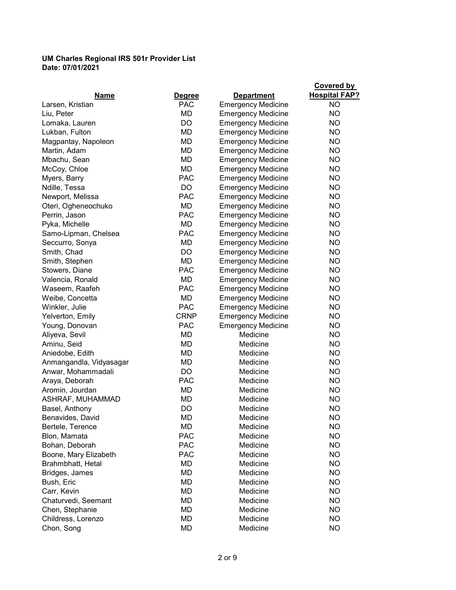|                                 |                             | <b>Department</b>         | <b>Covered by</b><br><b>Hospital FAP?</b> |
|---------------------------------|-----------------------------|---------------------------|-------------------------------------------|
| <b>Name</b><br>Larsen, Kristian | <b>Degree</b><br><b>PAC</b> | <b>Emergency Medicine</b> | <b>NO</b>                                 |
| Liu, Peter                      | MD                          | <b>Emergency Medicine</b> | <b>NO</b>                                 |
| Lomaka, Lauren                  | DO                          | <b>Emergency Medicine</b> | <b>NO</b>                                 |
| Lukban, Fulton                  | <b>MD</b>                   | <b>Emergency Medicine</b> | NO                                        |
| Magpantay, Napoleon             | MD                          | <b>Emergency Medicine</b> | NO                                        |
| Martin, Adam                    | MD                          | <b>Emergency Medicine</b> | NO                                        |
| Mbachu, Sean                    | <b>MD</b>                   | <b>Emergency Medicine</b> | NO                                        |
| McCoy, Chloe                    | MD                          | <b>Emergency Medicine</b> | <b>NO</b>                                 |
| Myers, Barry                    | <b>PAC</b>                  | <b>Emergency Medicine</b> | <b>NO</b>                                 |
| Ndille, Tessa                   | DO                          | <b>Emergency Medicine</b> | NO                                        |
| Newport, Melissa                | <b>PAC</b>                  | <b>Emergency Medicine</b> | NO                                        |
| Oteri, Ogheneochuko             | MD                          | <b>Emergency Medicine</b> | <b>NO</b>                                 |
| Perrin, Jason                   | <b>PAC</b>                  | <b>Emergency Medicine</b> | <b>NO</b>                                 |
| Pyka, Michelle                  | <b>MD</b>                   | <b>Emergency Medicine</b> | NO                                        |
| Samo-Lipman, Chelsea            | <b>PAC</b>                  | <b>Emergency Medicine</b> | <b>NO</b>                                 |
|                                 | MD                          |                           | <b>NO</b>                                 |
| Seccurro, Sonya<br>Smith, Chad  | <b>DO</b>                   | <b>Emergency Medicine</b> | <b>NO</b>                                 |
|                                 | <b>MD</b>                   | <b>Emergency Medicine</b> |                                           |
| Smith, Stephen                  | <b>PAC</b>                  | <b>Emergency Medicine</b> | NO<br><b>NO</b>                           |
| Stowers, Diane                  | MD                          | <b>Emergency Medicine</b> |                                           |
| Valencia, Ronald                | <b>PAC</b>                  | <b>Emergency Medicine</b> | NO                                        |
| Waseem, Raafeh                  |                             | <b>Emergency Medicine</b> | NO                                        |
| Weibe, Concetta                 | MD                          | <b>Emergency Medicine</b> | NO                                        |
| Winkler, Julie                  | <b>PAC</b>                  | <b>Emergency Medicine</b> | NO                                        |
| Yelverton, Emily                | <b>CRNP</b>                 | <b>Emergency Medicine</b> | NO.                                       |
| Young, Donovan                  | <b>PAC</b>                  | <b>Emergency Medicine</b> | <b>NO</b>                                 |
| Aliyeva, Sevil                  | MD                          | Medicine                  | NO                                        |
| Aminu, Seid                     | <b>MD</b>                   | Medicine                  | NO                                        |
| Aniedobe, Edith                 | MD                          | Medicine                  | <b>NO</b>                                 |
| Anmangandla, Vidyasagar         | MD                          | Medicine                  | <b>NO</b>                                 |
| Anwar, Mohammadali              | DO                          | Medicine                  | NO                                        |
| Araya, Deborah                  | <b>PAC</b>                  | Medicine                  | <b>NO</b>                                 |
| Aromin, Jourdan                 | <b>MD</b>                   | Medicine                  | NO                                        |
| ASHRAF, MUHAMMAD                | <b>MD</b>                   | Medicine                  | <b>NO</b>                                 |
| Basel, Anthony                  | DO                          | Medicine                  | <b>NO</b>                                 |
| Benavides, David                | MD                          | Medicine                  | NO.                                       |
| Bertele, Terence                | MD                          | Medicine                  | <b>NO</b>                                 |
| Blon, Mamata                    | <b>PAC</b>                  | Medicine                  | NO.                                       |
| Bohan, Deborah                  | <b>PAC</b>                  | Medicine                  | NO.                                       |
| Boone, Mary Elizabeth           | <b>PAC</b>                  | Medicine                  | NO.                                       |
| Brahmbhatt, Hetal               | MD                          | Medicine                  | NO.                                       |
| Bridges, James                  | MD                          | Medicine                  | NO.                                       |
| Bush, Eric                      | MD                          | Medicine                  | NO.                                       |
| Carr, Kevin                     | MD                          | Medicine                  | NO.                                       |
| Chaturvedi, Seemant             | MD                          | Medicine                  | NO.                                       |
| Chen, Stephanie                 | MD                          | Medicine                  | NO.                                       |
| Childress, Lorenzo              | MD                          | Medicine                  | NO.                                       |
| Chon, Song                      | MD                          | Medicine                  | NO.                                       |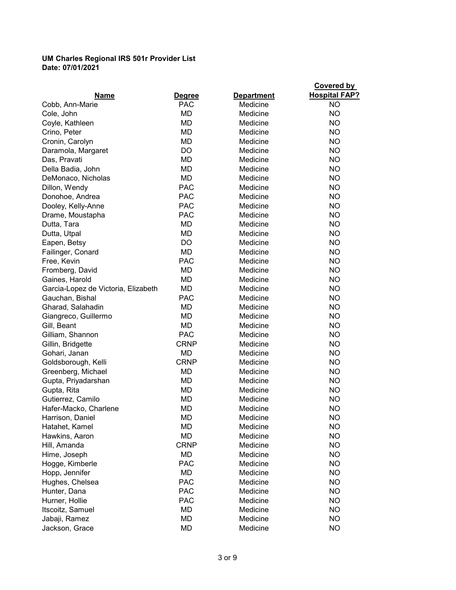|                                     |               |                   | <b>Covered by</b>    |
|-------------------------------------|---------------|-------------------|----------------------|
| <b>Name</b>                         | <b>Degree</b> | <b>Department</b> | <b>Hospital FAP?</b> |
| Cobb, Ann-Marie                     | <b>PAC</b>    | Medicine          | NO.                  |
| Cole, John                          | MD            | Medicine          | NO.                  |
| Coyle, Kathleen                     | <b>MD</b>     | Medicine          | NO.                  |
| Crino, Peter                        | MD            | Medicine          | NO.                  |
| Cronin, Carolyn                     | <b>MD</b>     | Medicine          | NO.                  |
| Daramola, Margaret                  | DO            | Medicine          | NO.                  |
| Das, Pravati                        | <b>MD</b>     | Medicine          | NO.                  |
| Della Badia, John                   | MD            | Medicine          | NO.                  |
| DeMonaco, Nicholas                  | <b>MD</b>     | Medicine          | NO.                  |
| Dillon, Wendy                       | <b>PAC</b>    | Medicine          | NO.                  |
| Donohoe, Andrea                     | <b>PAC</b>    | Medicine          | NO.                  |
| Dooley, Kelly-Anne                  | <b>PAC</b>    | Medicine          | NO.                  |
| Drame, Moustapha                    | <b>PAC</b>    | Medicine          | NO.                  |
| Dutta, Tara                         | <b>MD</b>     | Medicine          | NO.                  |
| Dutta, Utpal                        | <b>MD</b>     | Medicine          | NO.                  |
| Eapen, Betsy                        | DO            | Medicine          | NO.                  |
| Failinger, Conard                   | MD            | Medicine          | NO.                  |
| Free, Kevin                         | <b>PAC</b>    | Medicine          | NO.                  |
| Fromberg, David                     | MD            | Medicine          | NO.                  |
| Gaines, Harold                      | MD            | Medicine          | NO.                  |
| Garcia-Lopez de Victoria, Elizabeth | <b>MD</b>     | Medicine          | NO.                  |
| Gauchan, Bishal                     | <b>PAC</b>    | Medicine          | NO.                  |
| Gharad, Salahadin                   | MD            | Medicine          | NO.                  |
| Giangreco, Guillermo                | MD            | Medicine          | NO.                  |
| Gill, Beant                         | MD            | Medicine          | NO.                  |
| Gilliam, Shannon                    | <b>PAC</b>    | Medicine          | NO.                  |
| Gillin, Bridgette                   | <b>CRNP</b>   | Medicine          | <b>NO</b>            |
| Gohari, Janan                       | MD            | Medicine          | NO.                  |
| Goldsborough, Kelli                 | <b>CRNP</b>   | Medicine          | NO.                  |
| Greenberg, Michael                  | MD            | Medicine          | NO.                  |
| Gupta, Priyadarshan                 | <b>MD</b>     | Medicine          | <b>NO</b>            |
| Gupta, Rita                         | MD            | Medicine          | <b>NO</b>            |
| Gutierrez, Camilo                   | MD            | Medicine          | <b>NO</b>            |
| Hafer-Macko, Charlene               | MD            | Medicine          | ΝO                   |
| Harrison, Daniel                    | MD            | Medicine          | NO                   |
| Hatahet, Kamel                      | MD            | Medicine          | NO                   |
| Hawkins, Aaron                      | MD            | Medicine          | <b>NO</b>            |
| Hill, Amanda                        | <b>CRNP</b>   | Medicine          | <b>NO</b>            |
| Hime, Joseph                        | MD            | Medicine          | <b>NO</b>            |
| Hogge, Kimberle                     | <b>PAC</b>    | Medicine          | <b>NO</b>            |
| Hopp, Jennifer                      | MD            | Medicine          | <b>NO</b>            |
| Hughes, Chelsea                     | <b>PAC</b>    | Medicine          | <b>NO</b>            |
| Hunter, Dana                        | <b>PAC</b>    | Medicine          | <b>NO</b>            |
|                                     | <b>PAC</b>    | Medicine          | <b>NO</b>            |
| Hurner, Hollie<br>Itscoitz, Samuel  | MD            | Medicine          | NO.                  |
|                                     | MD            |                   |                      |
| Jabaji, Ramez                       |               | Medicine          | <b>NO</b>            |
| Jackson, Grace                      | <b>MD</b>     | Medicine          | <b>NO</b>            |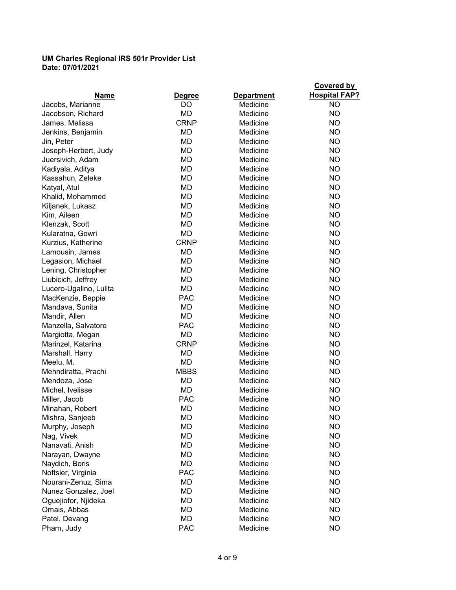| <b>Name</b>            | <b>Degree</b> | <b>Department</b> | Covered by<br><b>Hospital FAP?</b> |
|------------------------|---------------|-------------------|------------------------------------|
| Jacobs, Marianne       | DO.           | Medicine          | <b>NO</b>                          |
| Jacobson, Richard      | MD            | Medicine          | <b>NO</b>                          |
| James, Melissa         | <b>CRNP</b>   | Medicine          | NO.                                |
| Jenkins, Benjamin      | MD            | Medicine          | <b>NO</b>                          |
| Jin, Peter             | <b>MD</b>     | Medicine          | <b>NO</b>                          |
| Joseph-Herbert, Judy   | <b>MD</b>     | Medicine          | <b>NO</b>                          |
| Juersivich, Adam       | <b>MD</b>     | Medicine          | NO                                 |
| Kadiyala, Aditya       | <b>MD</b>     | Medicine          | NO                                 |
| Kassahun, Zeleke       | <b>MD</b>     | Medicine          | NO                                 |
| Katyal, Atul           | <b>MD</b>     | Medicine          | NO                                 |
| Khalid, Mohammed       | MD            | Medicine          | <b>NO</b>                          |
| Kiljanek, Lukasz       | MD            | Medicine          | <b>NO</b>                          |
| Kim, Aileen            | MD            | Medicine          | <b>NO</b>                          |
| Klenzak, Scott         | MD            | Medicine          | NO                                 |
| Kularatna, Gowri       | MD            | Medicine          | <b>NO</b>                          |
| Kurzius, Katherine     | <b>CRNP</b>   | Medicine          | <b>NO</b>                          |
| Lamousin, James        | <b>MD</b>     | Medicine          | NO                                 |
| Legasion, Michael      | MD            | Medicine          | <b>NO</b>                          |
| Lening, Christopher    | MD            | Medicine          | <b>NO</b>                          |
| Liubicich, Jeffrey     | <b>MD</b>     | Medicine          | <b>NO</b>                          |
| Lucero-Ugalino, Lulita | MD            | Medicine          | <b>NO</b>                          |
| MacKenzie, Beppie      | <b>PAC</b>    | Medicine          | <b>NO</b>                          |
| Mandava, Sunita        | MD            | Medicine          | NO                                 |
| Mandir, Allen          | <b>MD</b>     | Medicine          | NO                                 |
| Manzella, Salvatore    | <b>PAC</b>    | Medicine          | NO                                 |
| Margiotta, Megan       | MD            | Medicine          | <b>NO</b>                          |
| Marinzel, Katarina     | <b>CRNP</b>   | Medicine          | <b>NO</b>                          |
| Marshall, Harry        | <b>MD</b>     | Medicine          | <b>NO</b>                          |
| Meelu, M.              | <b>MD</b>     | Medicine          | <b>NO</b>                          |
| Mehndiratta, Prachi    | <b>MBBS</b>   | Medicine          | <b>NO</b>                          |
| Mendoza, Jose          | <b>MD</b>     | Medicine          | <b>NO</b>                          |
| Michel, Ivelisse       | MD            | Medicine          | <b>NO</b>                          |
| Miller, Jacob          | <b>PAC</b>    | Medicine          | <b>NO</b>                          |
| Minahan, Robert        | MD            | Medicine          | <b>NO</b>                          |
| Mishra, Sanjeeb        | MD            | Medicine          | <b>NO</b>                          |
| Murphy, Joseph         | MD            | Medicine          | <b>NO</b>                          |
| Nag, Vivek             | MD            | Medicine          | <b>NO</b>                          |
| Nanavati, Anish        | MD            | Medicine          | <b>NO</b>                          |
| Narayan, Dwayne        | MD            | Medicine          | <b>NO</b>                          |
| Naydich, Boris         | MD            | Medicine          | <b>NO</b>                          |
| Noftsier, Virginia     | <b>PAC</b>    | Medicine          | <b>NO</b>                          |
| Nourani-Zenuz, Sima    | MD            | Medicine          | <b>NO</b>                          |
| Nunez Gonzalez, Joel   | MD            | Medicine          | <b>NO</b>                          |
| Oguejiofor, Njideka    | MD            | Medicine          | <b>NO</b>                          |
| Omais, Abbas           | MD            | Medicine          | <b>NO</b>                          |
| Patel, Devang          | MD            | Medicine          | <b>NO</b>                          |
| Pham, Judy             | <b>PAC</b>    | Medicine          | <b>NO</b>                          |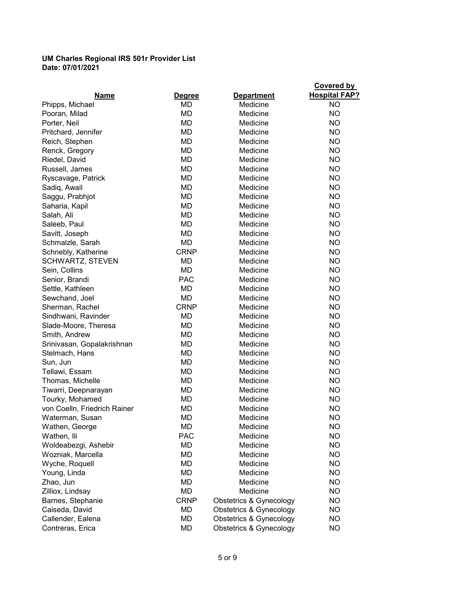| <b>Name</b>                  | <b>Degree</b> | <b>Department</b>                  | <b>Covered by</b><br><b>Hospital FAP?</b> |
|------------------------------|---------------|------------------------------------|-------------------------------------------|
| Phipps, Michael              | MD            | Medicine                           | <b>NO</b>                                 |
| Pooran, Milad                | MD            | Medicine                           | NO.                                       |
| Porter, Neil                 | MD            | Medicine                           | NO.                                       |
| Pritchard, Jennifer          | <b>MD</b>     | Medicine                           | NO.                                       |
| Reich, Stephen               | <b>MD</b>     | Medicine                           | NO                                        |
| Renck, Gregory               | MD            | Medicine                           | NO                                        |
| Riedel, David                | <b>MD</b>     | Medicine                           | NO                                        |
| Russell, James               | MD            | Medicine                           | NO.                                       |
| Ryscavage, Patrick           | <b>MD</b>     | Medicine                           | NO.                                       |
| Sadiq, Awail                 | <b>MD</b>     | Medicine                           | NO                                        |
| Saggu, Prabhjot              | MD            | Medicine                           | NO                                        |
| Saharia, Kapil               | MD            | Medicine                           | NO                                        |
| Salah, Ali                   | <b>MD</b>     | Medicine                           | NO.                                       |
| Saleeb, Paul                 | <b>MD</b>     | Medicine                           | NO.                                       |
| Savitt, Joseph               | MD            | Medicine                           | NO.                                       |
| Schmalzle, Sarah             | MD            | Medicine                           | NO                                        |
| Schnebly, Katherine          | <b>CRNP</b>   | Medicine                           | NO.                                       |
| <b>SCHWARTZ, STEVEN</b>      | MD            | Medicine                           | NO                                        |
| Sein, Collins                | MD            | Medicine                           | NO.                                       |
| Senior, Brandi               | <b>PAC</b>    | Medicine                           | NO.                                       |
| Settle, Kathleen             | MD            | Medicine                           | <b>NO</b>                                 |
| Sewchand, Joel               | <b>MD</b>     | Medicine                           | NO                                        |
| Sherman, Rachel              | <b>CRNP</b>   | Medicine                           | NO                                        |
| Sindhwani, Ravinder          | MD            | Medicine                           | NO                                        |
| Slade-Moore, Theresa         | MD            | Medicine                           | NO                                        |
| Smith, Andrew                | MD            | Medicine                           | NO                                        |
| Srinivasan, Gopalakrishnan   | <b>MD</b>     | Medicine                           | NO                                        |
| Stelmach, Hans               | <b>MD</b>     | Medicine                           | NO                                        |
| Sun, Jun                     | MD            | Medicine                           | NO                                        |
| Tellawi, Essam               | MD            | Medicine                           | NO.                                       |
| Thomas, Michelle             | MD            | Medicine                           | NO                                        |
| Tiwarri, Deepnarayan         | MD            | Medicine                           | <b>NO</b>                                 |
| Tourky, Mohamed              | MD            | Medicine                           | <b>NO</b>                                 |
| von Coelln, Friedrich Rainer | MD            | Medicine                           | <b>NO</b>                                 |
| Waterman, Susan              | MD            | Medicine                           | <b>NO</b>                                 |
| Wathen, George               | MD            | Medicine                           | <b>NO</b>                                 |
| Wathen, Ili                  | <b>PAC</b>    | Medicine                           | <b>NO</b>                                 |
| Woldeabezgi, Ashebir         | MD            | Medicine                           | <b>NO</b>                                 |
| Wozniak, Marcella            | MD            | Medicine                           | <b>NO</b>                                 |
| Wyche, Roquell               | MD            | Medicine                           | <b>NO</b>                                 |
| Young, Linda                 | MD            | Medicine                           | <b>NO</b>                                 |
| Zhao, Jun                    | MD            | Medicine                           | <b>NO</b>                                 |
| Zilliox, Lindsay             | MD            | Medicine                           | <b>NO</b>                                 |
| Barnes, Stephanie            | <b>CRNP</b>   | Obstetrics & Gynecology            | <b>NO</b>                                 |
| Caiseda, David               | MD            | Obstetrics & Gynecology            | <b>NO</b>                                 |
| Callender, Ealena            | MD            | <b>Obstetrics &amp; Gynecology</b> | <b>NO</b>                                 |
| Contreras, Erica             | MD            | <b>Obstetrics &amp; Gynecology</b> | <b>NO</b>                                 |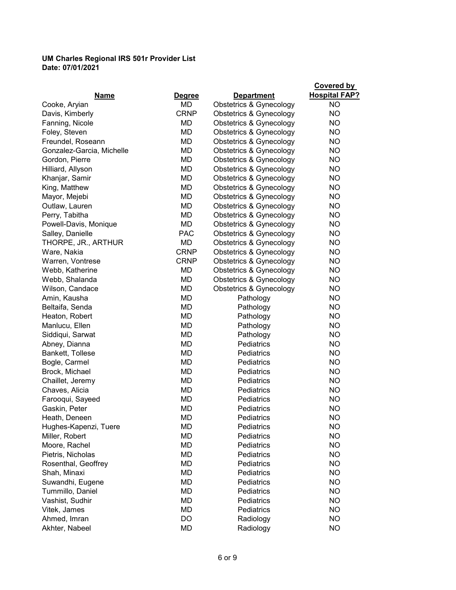| Name                      | <b>Degree</b> | <b>Department</b>                  | <b>Covered by</b><br><b>Hospital FAP?</b> |
|---------------------------|---------------|------------------------------------|-------------------------------------------|
| Cooke, Aryian             | MD            | Obstetrics & Gynecology            | <b>NO</b>                                 |
| Davis, Kimberly           | <b>CRNP</b>   | Obstetrics & Gynecology            | <b>NO</b>                                 |
| Fanning, Nicole           | MD            | <b>Obstetrics &amp; Gynecology</b> | <b>NO</b>                                 |
| Foley, Steven             | MD            | <b>Obstetrics &amp; Gynecology</b> | NO.                                       |
| Freundel, Roseann         | MD            | <b>Obstetrics &amp; Gynecology</b> | NO                                        |
| Gonzalez-Garcia, Michelle | MD            | Obstetrics & Gynecology            | <b>NO</b>                                 |
| Gordon, Pierre            | MD            | Obstetrics & Gynecology            | <b>NO</b>                                 |
| Hilliard, Allyson         | MD            | Obstetrics & Gynecology            | <b>NO</b>                                 |
| Khanjar, Samir            | MD            | Obstetrics & Gynecology            | <b>NO</b>                                 |
| King, Matthew             | MD            | Obstetrics & Gynecology            | <b>NO</b>                                 |
| Mayor, Mejebi             | <b>MD</b>     | <b>Obstetrics &amp; Gynecology</b> | NO                                        |
| Outlaw, Lauren            | MD            | <b>Obstetrics &amp; Gynecology</b> | <b>NO</b>                                 |
| Perry, Tabitha            | MD            | <b>Obstetrics &amp; Gynecology</b> | NO.                                       |
| Powell-Davis, Monique     | MD            | Obstetrics & Gynecology            | NO                                        |
| Salley, Danielle          | <b>PAC</b>    | Obstetrics & Gynecology            | NO                                        |
| THORPE, JR., ARTHUR       | MD            | Obstetrics & Gynecology            | <b>NO</b>                                 |
| Ware, Nakia               | <b>CRNP</b>   | <b>Obstetrics &amp; Gynecology</b> | NO                                        |
| Warren, Vontrese          | <b>CRNP</b>   | <b>Obstetrics &amp; Gynecology</b> | NO                                        |
| Webb, Katherine           | MD            | <b>Obstetrics &amp; Gynecology</b> | NO.                                       |
| Webb, Shalanda            | MD            | <b>Obstetrics &amp; Gynecology</b> | <b>NO</b>                                 |
| Wilson, Candace           | <b>MD</b>     | Obstetrics & Gynecology            | <b>NO</b>                                 |
| Amin, Kausha              | MD            | Pathology                          | NO                                        |
| Beltaifa, Senda           | <b>MD</b>     | Pathology                          | <b>NO</b>                                 |
| Heaton, Robert            | MD            | Pathology                          | <b>NO</b>                                 |
| Manlucu, Ellen            | MD            | Pathology                          | <b>NO</b>                                 |
| Siddiqui, Sarwat          | MD            | Pathology                          | <b>NO</b>                                 |
| Abney, Dianna             | MD            | <b>Pediatrics</b>                  | <b>NO</b>                                 |
| Bankett, Tollese          | MD            | Pediatrics                         | <b>NO</b>                                 |
| Bogle, Carmel             | MD            | Pediatrics                         | NO                                        |
| Brock, Michael            | MD            | Pediatrics                         | <b>NO</b>                                 |
| Chaillet, Jeremy          | <b>MD</b>     | Pediatrics                         | NO                                        |
| Chaves, Alicia            | MD            | Pediatrics                         | NO                                        |
| Farooqui, Sayeed          | MD            | Pediatrics                         | <b>NO</b>                                 |
| Gaskin, Peter             | MD            | Pediatrics                         | <b>NO</b>                                 |
| Heath, Deneen             | MD            | Pediatrics                         | <b>NO</b>                                 |
| Hughes-Kapenzi, Tuere     | MD            | Pediatrics                         | <b>NO</b>                                 |
| Miller, Robert            | MD            | Pediatrics                         | <b>NO</b>                                 |
| Moore, Rachel             | MD            | Pediatrics                         | <b>NO</b>                                 |
| Pietris, Nicholas         | MD            | Pediatrics                         | <b>NO</b>                                 |
| Rosenthal, Geoffrey       | MD            | Pediatrics                         | NO                                        |
| Shah, Minaxi              | MD            | Pediatrics                         | <b>NO</b>                                 |
| Suwandhi, Eugene          | MD            | Pediatrics                         | <b>NO</b>                                 |
| Tummillo, Daniel          | MD            | Pediatrics                         | NO                                        |
| Vashist, Sudhir           | MD            | Pediatrics                         | <b>NO</b>                                 |
| Vitek, James              | MD            | Pediatrics                         | <b>NO</b>                                 |
| Ahmed, Imran              | DO            | Radiology                          | <b>NO</b>                                 |
| Akhter, Nabeel            | MD            | Radiology                          | <b>NO</b>                                 |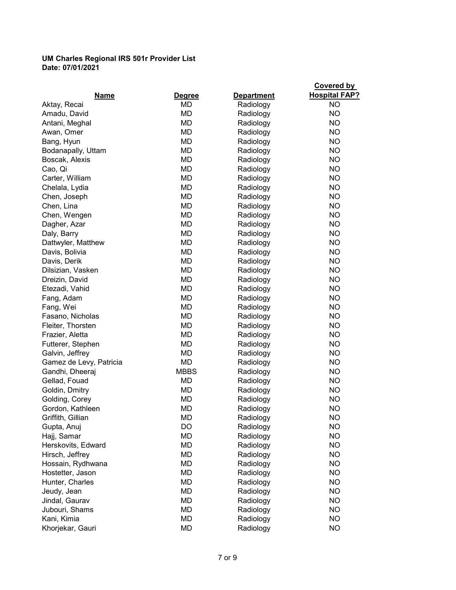|                         |               |                   | <b>Covered by</b>    |
|-------------------------|---------------|-------------------|----------------------|
| <b>Name</b>             | <b>Degree</b> | <b>Department</b> | <b>Hospital FAP?</b> |
| Aktay, Recai            | MD            | Radiology         | NO.                  |
| Amadu, David            | MD            | Radiology         | <b>NO</b>            |
| Antani, Meghal          | MD            | Radiology         | NO.                  |
| Awan, Omer              | MD            | Radiology         | NO.                  |
| Bang, Hyun              | MD            | Radiology         | NO.                  |
| Bodanapally, Uttam      | MD            | Radiology         | <b>NO</b>            |
| Boscak, Alexis          | <b>MD</b>     | Radiology         | <b>NO</b>            |
| Cao, Qi                 | MD            | Radiology         | <b>NO</b>            |
| Carter, William         | MD            | Radiology         | <b>NO</b>            |
| Chelala, Lydia          | MD            | Radiology         | <b>NO</b>            |
| Chen, Joseph            | MD            | Radiology         | <b>NO</b>            |
| Chen, Lina              | <b>MD</b>     | Radiology         | NO.                  |
| Chen, Wengen            | MD            | Radiology         | <b>NO</b>            |
| Dagher, Azar            | MD            | Radiology         | <b>NO</b>            |
| Daly, Barry             | <b>MD</b>     | Radiology         | <b>NO</b>            |
| Dattwyler, Matthew      | MD            | Radiology         | NO.                  |
| Davis, Bolivia          | <b>MD</b>     | Radiology         | NO.                  |
| Davis, Derik            | <b>MD</b>     | Radiology         | <b>NO</b>            |
| Dilsizian, Vasken       | <b>MD</b>     | Radiology         | NO.                  |
| Dreizin, David          | <b>MD</b>     | Radiology         | <b>NO</b>            |
| Etezadi, Vahid          | MD            | Radiology         | <b>NO</b>            |
| Fang, Adam              | MD            | Radiology         | <b>NO</b>            |
| Fang, Wei               | MD            | Radiology         | <b>NO</b>            |
| Fasano, Nicholas        | <b>MD</b>     | Radiology         | NO.                  |
| Fleiter, Thorsten       | <b>MD</b>     | Radiology         | <b>NO</b>            |
| Frazier, Aletta         | MD            | Radiology         | <b>NO</b>            |
| Futterer, Stephen       | MD            | Radiology         | NO.                  |
| Galvin, Jeffrey         | <b>MD</b>     | Radiology         | NO.                  |
| Gamez de Levy, Patricia | <b>MD</b>     | Radiology         | <b>NO</b>            |
| Gandhi, Dheeraj         | <b>MBBS</b>   | Radiology         | <b>NO</b>            |
| Gellad, Fouad           | MD            | Radiology         | <b>NO</b>            |
| Goldin, Dmitry          | MD            | Radiology         | <b>NO</b>            |
| Golding, Corey          | MD            | Radiology         | <b>NO</b>            |
| Gordon, Kathleen        | MD            | Radiology         | <b>NO</b>            |
| Griffith, Gillian       | MD            | Radiology         | NO                   |
| Gupta, Anuj             | DO            | Radiology         | <b>NO</b>            |
| Hajj, Samar             | MD            | Radiology         | <b>NO</b>            |
| Herskovits, Edward      | MD            | Radiology         | NO.                  |
| Hirsch, Jeffrey         | MD            | Radiology         | <b>NO</b>            |
| Hossain, Rydhwana       | MD            | Radiology         | <b>NO</b>            |
| Hostetter, Jason        | MD            | Radiology         | <b>NO</b>            |
| Hunter, Charles         | MD            | Radiology         | NO                   |
| Jeudy, Jean             | MD            | Radiology         | <b>NO</b>            |
| Jindal, Gaurav          | MD            | Radiology         | <b>NO</b>            |
| Jubouri, Shams          | MD            | Radiology         | <b>NO</b>            |
| Kani, Kimia             | MD            | Radiology         | <b>NO</b>            |
| Khorjekar, Gauri        | MD            | Radiology         | <b>NO</b>            |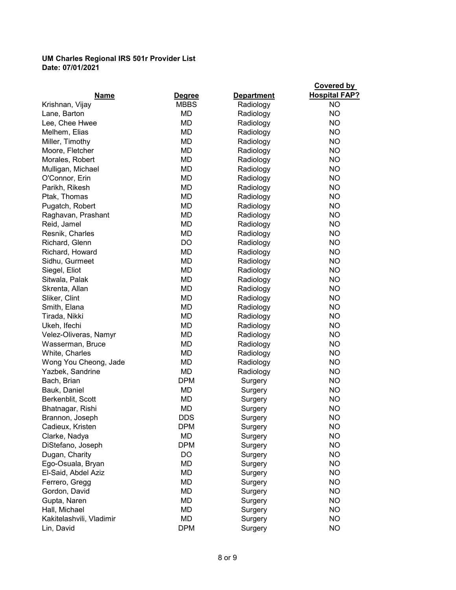|                          |               |                   | <b>Covered by</b>    |
|--------------------------|---------------|-------------------|----------------------|
| Name                     | <b>Degree</b> | <b>Department</b> | <b>Hospital FAP?</b> |
| Krishnan, Vijay          | <b>MBBS</b>   | Radiology         | <b>NO</b>            |
| Lane, Barton             | <b>MD</b>     | Radiology         | <b>NO</b>            |
| Lee, Chee Hwee           | MD            | Radiology         | <b>NO</b>            |
| Melhem, Elias            | MD            | Radiology         | NO                   |
| Miller, Timothy          | MD            | Radiology         | NO                   |
| Moore, Fletcher          | MD            | Radiology         | <b>NO</b>            |
| Morales, Robert          | MD            | Radiology         | <b>NO</b>            |
| Mulligan, Michael        | MD            | Radiology         | <b>NO</b>            |
| O'Connor, Erin           | MD            | Radiology         | <b>NO</b>            |
| Parikh, Rikesh           | MD            | Radiology         | <b>NO</b>            |
| Ptak, Thomas             | MD            | Radiology         | <b>NO</b>            |
| Pugatch, Robert          | MD            | Radiology         | <b>NO</b>            |
| Raghavan, Prashant       | <b>MD</b>     | Radiology         | NO                   |
| Reid, Jamel              | MD            | Radiology         | NO                   |
| Resnik, Charles          | MD            | Radiology         | NO.                  |
| Richard, Glenn           | <b>DO</b>     | Radiology         | <b>NO</b>            |
| Richard, Howard          | MD            | Radiology         | NO                   |
| Sidhu, Gurmeet           | MD            | Radiology         | NO                   |
| Siegel, Eliot            | MD            | Radiology         | NO.                  |
| Sitwala, Palak           | MD            | Radiology         | <b>NO</b>            |
| Skrenta, Allan           | MD            | Radiology         | NO                   |
| Sliker, Clint            | MD            | Radiology         | NO                   |
| Smith, Elana             | MD            | Radiology         | <b>NO</b>            |
| Tirada, Nikki            | MD            | Radiology         | <b>NO</b>            |
| Ukeh, Ifechi             | MD            | Radiology         | <b>NO</b>            |
| Velez-Oliveras, Namyr    | MD            | Radiology         | NO                   |
| Wasserman, Bruce         | <b>MD</b>     | Radiology         | <b>NO</b>            |
| White, Charles           | MD            | Radiology         | <b>NO</b>            |
| Wong You Cheong, Jade    | MD            | Radiology         | NO                   |
| Yazbek, Sandrine         | MD            | Radiology         | NO                   |
| Bach, Brian              | <b>DPM</b>    | Surgery           | NO                   |
| Bauk, Daniel             | MD            | Surgery           | <b>NO</b>            |
| Berkenblit, Scott        | MD            | Surgery           | <b>NO</b>            |
| Bhatnagar, Rishi         | MD            | Surgery           | <b>NO</b>            |
| Brannon, Joseph          | <b>DDS</b>    | Surgery           | <b>NO</b>            |
| Cadieux, Kristen         | <b>DPM</b>    | Surgery           | <b>NO</b>            |
| Clarke, Nadya            | MD            | Surgery           | <b>NO</b>            |
| DiStefano, Joseph        | <b>DPM</b>    | Surgery           | <b>NO</b>            |
| Dugan, Charity           | DO            | Surgery           | <b>NO</b>            |
| Ego-Osuala, Bryan        | MD            | Surgery           | <b>NO</b>            |
| El-Said, Abdel Aziz      | MD            | Surgery           | <b>NO</b>            |
| Ferrero, Gregg           | <b>MD</b>     | Surgery           | <b>NO</b>            |
| Gordon, David            | MD            | Surgery           | <b>NO</b>            |
| Gupta, Naren             | MD            | Surgery           | <b>NO</b>            |
| Hall, Michael            | MD            | Surgery           | <b>NO</b>            |
| Kakitelashvili, Vladimir | MD            | Surgery           | <b>NO</b>            |
| Lin, David               | <b>DPM</b>    | Surgery           | <b>NO</b>            |